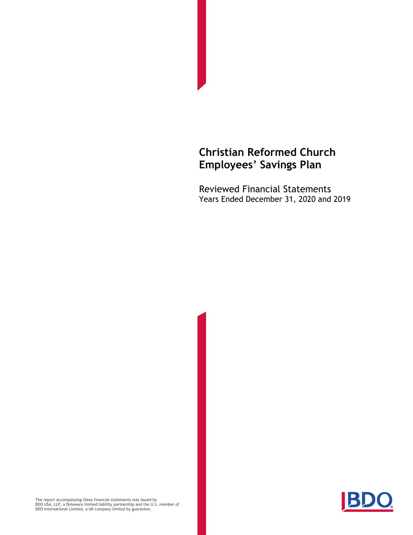Reviewed Financial Statements Years Ended December 31, 2020 and 2019



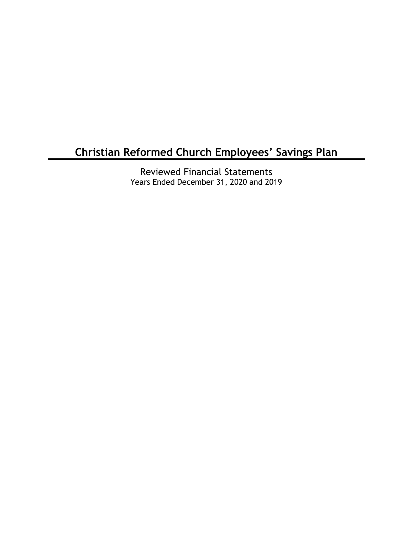Reviewed Financial Statements Years Ended December 31, 2020 and 2019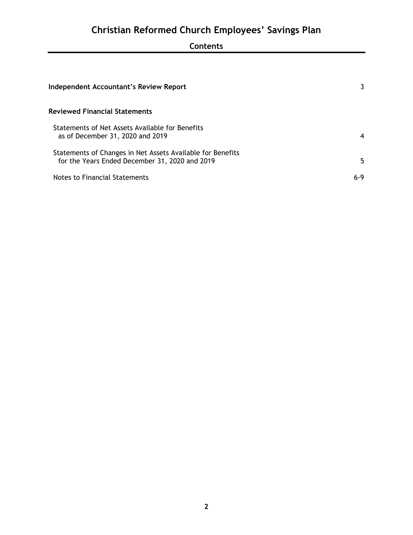## **Contents**

| Independent Accountant's Review Report                                                                       | 3   |  |
|--------------------------------------------------------------------------------------------------------------|-----|--|
| Reviewed Financial Statements                                                                                |     |  |
| Statements of Net Assets Available for Benefits<br>as of December 31, 2020 and 2019                          | 4   |  |
| Statements of Changes in Net Assets Available for Benefits<br>for the Years Ended December 31, 2020 and 2019 | 5   |  |
| Notes to Financial Statements                                                                                | 6-9 |  |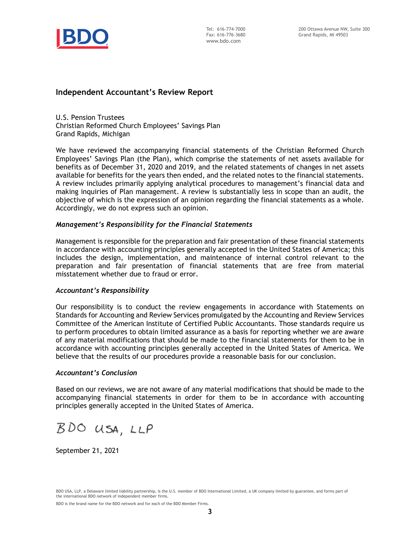

### **Independent Accountant's Review Report**

U.S. Pension Trustees Christian Reformed Church Employees' Savings Plan Grand Rapids, Michigan

We have reviewed the accompanying financial statements of the Christian Reformed Church Employees' Savings Plan (the Plan), which comprise the statements of net assets available for benefits as of December 31, 2020 and 2019, and the related statements of changes in net assets available for benefits for the years then ended, and the related notes to the financial statements. A review includes primarily applying analytical procedures to management's financial data and making inquiries of Plan management. A review is substantially less in scope than an audit, the objective of which is the expression of an opinion regarding the financial statements as a whole. Accordingly, we do not express such an opinion.

#### *Management's Responsibility for the Financial Statements*

Management is responsible for the preparation and fair presentation of these financial statements in accordance with accounting principles generally accepted in the United States of America; this includes the design, implementation, and maintenance of internal control relevant to the preparation and fair presentation of financial statements that are free from material misstatement whether due to fraud or error.

#### *Accountant's Responsibility*

Our responsibility is to conduct the review engagements in accordance with Statements on Standards for Accounting and Review Services promulgated by the Accounting and Review Services Committee of the American Institute of Certified Public Accountants. Those standards require us to perform procedures to obtain limited assurance as a basis for reporting whether we are aware of any material modifications that should be made to the financial statements for them to be in accordance with accounting principles generally accepted in the United States of America. We believe that the results of our procedures provide a reasonable basis for our conclusion.

#### *Accountant's Conclusion*

Based on our reviews, we are not aware of any material modifications that should be made to the accompanying financial statements in order for them to be in accordance with accounting principles generally accepted in the United States of America.

BDO USA, LLP

September 21, 2021

BDO USA, LLP, a Delaware limited liability partnership, is the U.S. member of BDO International Limited, a UK company limited by guarantee, and forms part of the international BDO network of independent member firms.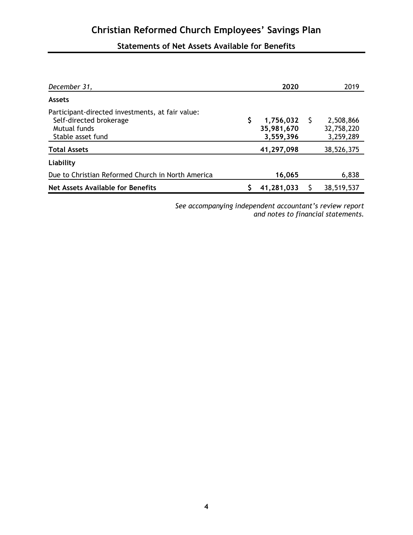## **Statements of Net Assets Available for Benefits**

| December 31,                                                                                                     | 2020                                 |    | 2019                                 |
|------------------------------------------------------------------------------------------------------------------|--------------------------------------|----|--------------------------------------|
| <b>Assets</b>                                                                                                    |                                      |    |                                      |
| Participant-directed investments, at fair value:<br>Self-directed brokerage<br>Mutual funds<br>Stable asset fund | 1,756,032<br>35,981,670<br>3,559,396 | -S | 2,508,866<br>32,758,220<br>3,259,289 |
| <b>Total Assets</b>                                                                                              | 41,297,098                           |    | 38,526,375                           |
| Liability                                                                                                        |                                      |    |                                      |
| Due to Christian Reformed Church in North America                                                                | 16,065                               |    | 6,838                                |
| Net Assets Available for Benefits                                                                                | 41,281,033                           |    | 38,519,537                           |

*See accompanying independent accountant's review report and notes to financial statements.*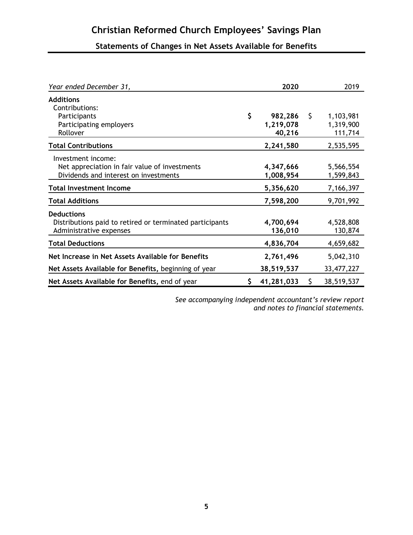## **Statements of Changes in Net Assets Available for Benefits**

| Year ended December 31,                                                                                      | 2020                                 |    | 2019                              |
|--------------------------------------------------------------------------------------------------------------|--------------------------------------|----|-----------------------------------|
| <b>Additions</b><br>Contributions:<br>Participants<br>Participating employers<br>Rollover                    | \$<br>982,286<br>1,219,078<br>40,216 | S. | 1,103,981<br>1,319,900<br>111,714 |
| <b>Total Contributions</b>                                                                                   | 2,241,580                            |    | 2,535,595                         |
| Investment income:<br>Net appreciation in fair value of investments<br>Dividends and interest on investments | 4,347,666<br>1,008,954               |    | 5,566,554<br>1,599,843            |
| <b>Total Investment Income</b>                                                                               | 5,356,620                            |    | 7,166,397                         |
| <b>Total Additions</b>                                                                                       | 7,598,200                            |    | 9,701,992                         |
| <b>Deductions</b><br>Distributions paid to retired or terminated participants<br>Administrative expenses     | 4,700,694<br>136,010                 |    | 4,528,808<br>130,874              |
| <b>Total Deductions</b>                                                                                      | 4,836,704                            |    | 4,659,682                         |
| Net Increase in Net Assets Available for Benefits                                                            | 2,761,496                            |    | 5,042,310                         |
| Net Assets Available for Benefits, beginning of year                                                         | 38,519,537                           |    | 33,477,227                        |
| Net Assets Available for Benefits, end of year                                                               | 41,281,033                           | S. | 38,519,537                        |

*See accompanying independent accountant's review report and notes to financial statements.*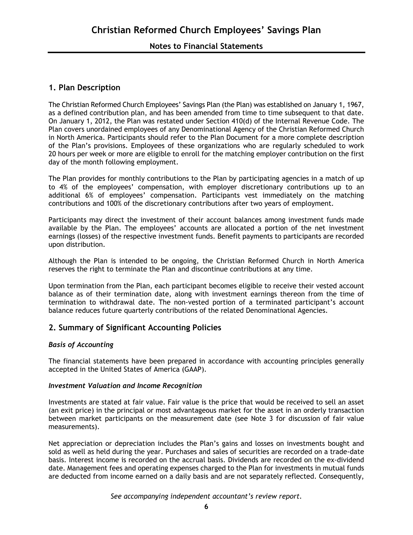## **1. Plan Description**

The Christian Reformed Church Employees' Savings Plan (the Plan) was established on January 1, 1967, as a defined contribution plan, and has been amended from time to time subsequent to that date. On January 1, 2012, the Plan was restated under Section 410(d) of the Internal Revenue Code. The Plan covers unordained employees of any Denominational Agency of the Christian Reformed Church in North America. Participants should refer to the Plan Document for a more complete description of the Plan's provisions. Employees of these organizations who are regularly scheduled to work 20 hours per week or more are eligible to enroll for the matching employer contribution on the first day of the month following employment.

The Plan provides for monthly contributions to the Plan by participating agencies in a match of up to 4% of the employees' compensation, with employer discretionary contributions up to an additional 6% of employees' compensation. Participants vest immediately on the matching contributions and 100% of the discretionary contributions after two years of employment.

Participants may direct the investment of their account balances among investment funds made available by the Plan. The employees' accounts are allocated a portion of the net investment earnings (losses) of the respective investment funds. Benefit payments to participants are recorded upon distribution.

Although the Plan is intended to be ongoing, the Christian Reformed Church in North America reserves the right to terminate the Plan and discontinue contributions at any time.

Upon termination from the Plan, each participant becomes eligible to receive their vested account balance as of their termination date, along with investment earnings thereon from the time of termination to withdrawal date. The non-vested portion of a terminated participant's account balance reduces future quarterly contributions of the related Denominational Agencies.

## **2. Summary of Significant Accounting Policies**

#### *Basis of Accounting*

The financial statements have been prepared in accordance with accounting principles generally accepted in the United States of America (GAAP).

#### *Investment Valuation and Income Recognition*

Investments are stated at fair value. Fair value is the price that would be received to sell an asset (an exit price) in the principal or most advantageous market for the asset in an orderly transaction between market participants on the measurement date (see Note 3 for discussion of fair value measurements).

Net appreciation or depreciation includes the Plan's gains and losses on investments bought and sold as well as held during the year. Purchases and sales of securities are recorded on a trade-date basis. Interest income is recorded on the accrual basis. Dividends are recorded on the ex-dividend date. Management fees and operating expenses charged to the Plan for investments in mutual funds are deducted from income earned on a daily basis and are not separately reflected. Consequently,

*See accompanying independent accountant's review report.*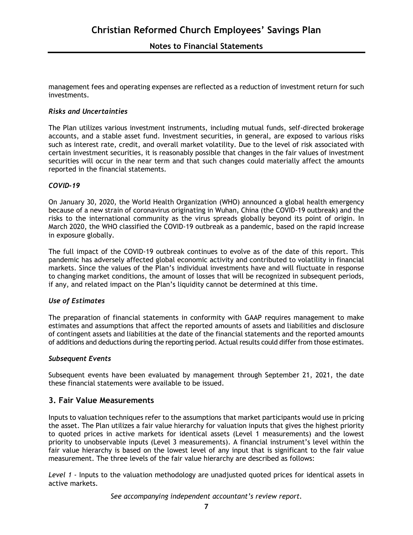management fees and operating expenses are reflected as a reduction of investment return for such investments.

#### *Risks and Uncertainties*

The Plan utilizes various investment instruments, including mutual funds, self-directed brokerage accounts, and a stable asset fund. Investment securities, in general, are exposed to various risks such as interest rate, credit, and overall market volatility. Due to the level of risk associated with certain investment securities, it is reasonably possible that changes in the fair values of investment securities will occur in the near term and that such changes could materially affect the amounts reported in the financial statements.

#### *COVID-19*

On January 30, 2020, the World Health Organization (WHO) announced a global health emergency because of a new strain of coronavirus originating in Wuhan, China (the COVID-19 outbreak) and the risks to the international community as the virus spreads globally beyond its point of origin. In March 2020, the WHO classified the COVID-19 outbreak as a pandemic, based on the rapid increase in exposure globally.

The full impact of the COVID-19 outbreak continues to evolve as of the date of this report. This pandemic has adversely affected global economic activity and contributed to volatility in financial markets. Since the values of the Plan's individual investments have and will fluctuate in response to changing market conditions, the amount of losses that will be recognized in subsequent periods, if any, and related impact on the Plan's liquidity cannot be determined at this time.

#### *Use of Estimates*

The preparation of financial statements in conformity with GAAP requires management to make estimates and assumptions that affect the reported amounts of assets and liabilities and disclosure of contingent assets and liabilities at the date of the financial statements and the reported amounts of additions and deductions during the reporting period. Actual results could differ from those estimates.

#### *Subsequent Events*

Subsequent events have been evaluated by management through September 21, 2021, the date these financial statements were available to be issued.

### **3. Fair Value Measurements**

Inputs to valuation techniques refer to the assumptions that market participants would use in pricing the asset. The Plan utilizes a fair value hierarchy for valuation inputs that gives the highest priority to quoted prices in active markets for identical assets (Level 1 measurements) and the lowest priority to unobservable inputs (Level 3 measurements). A financial instrument's level within the fair value hierarchy is based on the lowest level of any input that is significant to the fair value measurement. The three levels of the fair value hierarchy are described as follows:

*Level 1 -* Inputs to the valuation methodology are unadjusted quoted prices for identical assets in active markets.

*See accompanying independent accountant's review report.*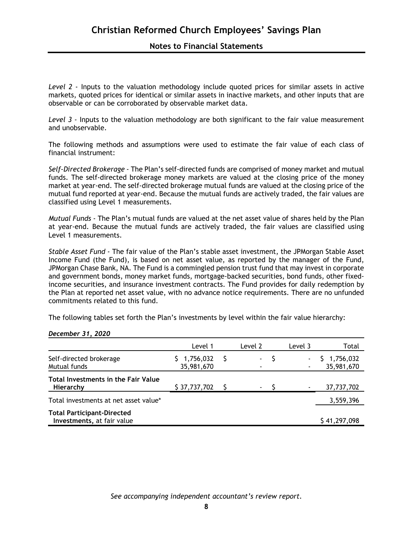Level 2 - Inputs to the valuation methodology include quoted prices for similar assets in active markets, quoted prices for identical or similar assets in inactive markets, and other inputs that are observable or can be corroborated by observable market data.

Level 3 - Inputs to the valuation methodology are both significant to the fair value measurement and unobservable.

The following methods and assumptions were used to estimate the fair value of each class of financial instrument:

*Self-Directed Brokerage -* The Plan's self-directed funds are comprised of money market and mutual funds. The self-directed brokerage money markets are valued at the closing price of the money market at year-end. The self-directed brokerage mutual funds are valued at the closing price of the mutual fund reported at year-end. Because the mutual funds are actively traded, the fair values are classified using Level 1 measurements.

*Mutual Funds -* The Plan's mutual funds are valued at the net asset value of shares held by the Plan at year-end. Because the mutual funds are actively traded, the fair values are classified using Level 1 measurements.

*Stable Asset Fund -* The fair value of the Plan's stable asset investment, the JPMorgan Stable Asset Income Fund (the Fund), is based on net asset value, as reported by the manager of the Fund, JPMorgan Chase Bank, NA. The Fund is a commingled pension trust fund that may invest in corporate and government bonds, money market funds, mortgage-backed securities, bond funds, other fixedincome securities, and insurance investment contracts. The Fund provides for daily redemption by the Plan at reported net asset value, with no advance notice requirements. There are no unfunded commitments related to this fund.

The following tables set forth the Plan's investments by level within the fair value hierarchy:

|                                                                 | Level 1                 | Level 2        | Level 3 | Total                   |
|-----------------------------------------------------------------|-------------------------|----------------|---------|-------------------------|
| Self-directed brokerage<br>Mutual funds                         | 1,756,032<br>35,981,670 | $\blacksquare$ | ٠       | 1,756,032<br>35,981,670 |
| Total Investments in the Fair Value<br>Hierarchy                | \$37,737,702            | $\sim$         |         | 37,737,702              |
| Total investments at net asset value*                           |                         |                |         | 3,559,396               |
| <b>Total Participant-Directed</b><br>Investments, at fair value |                         |                |         | \$41,297,098            |

*December 31, 2020*